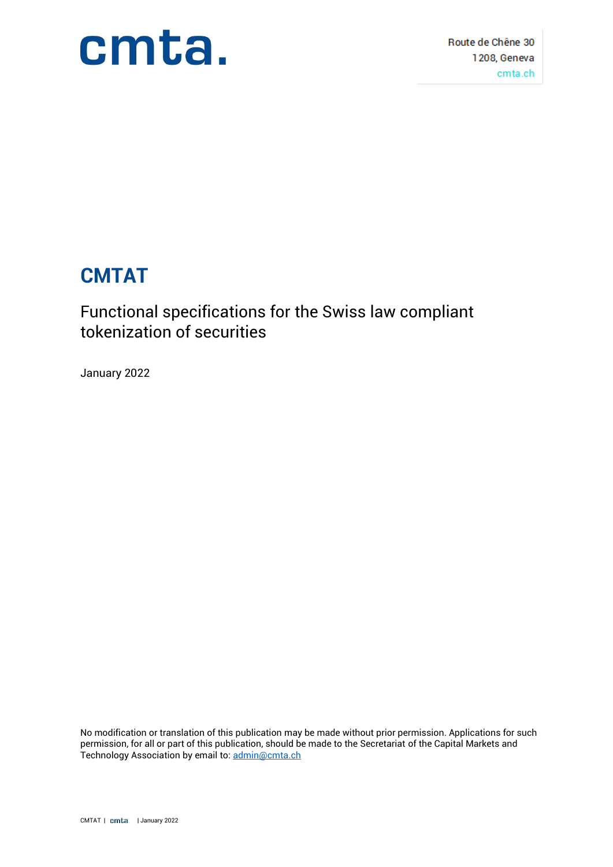

Route de Chêne 30 1208. Geneva cmta.ch

### **CMTAT**

### Functional specifications for the Swiss law compliant tokenization of securities

January 2022

No modification or translation of this publication may be made without prior permission. Applications for such permission, for all or part of this publication, should be made to the Secretariat of the Capital Markets and Technology Association by email to[:](http://admin@cmta.ch) [admin@cmta.ch](http://admin@cmta.ch)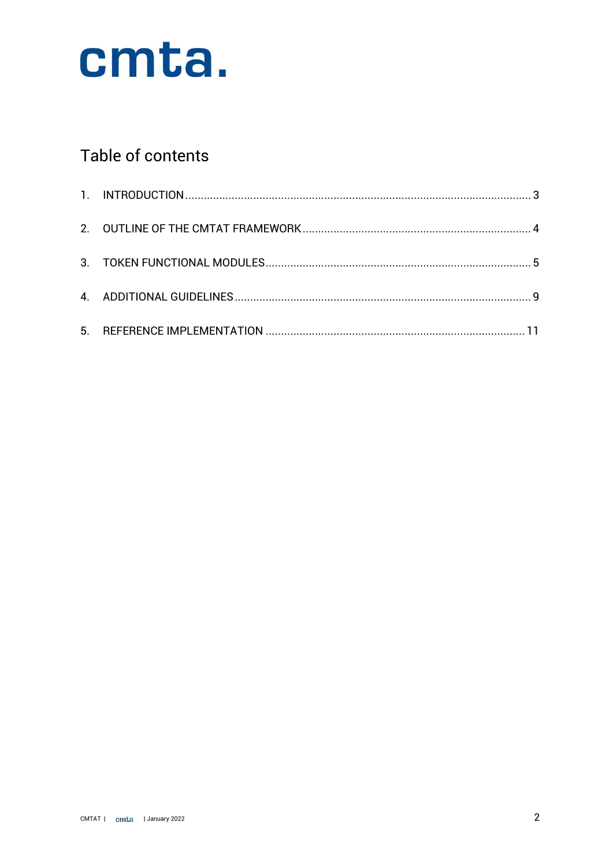

### Table of contents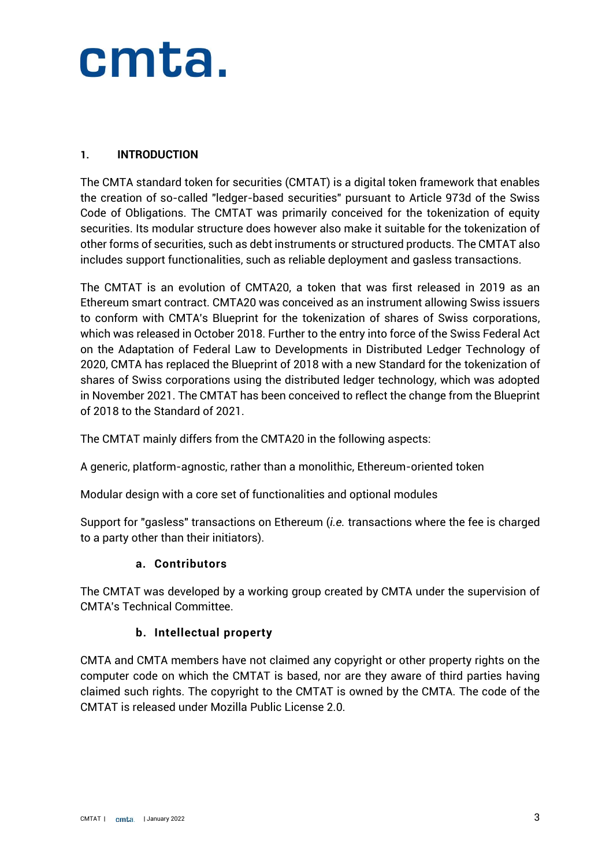#### <span id="page-2-0"></span>**1. INTRODUCTION**

The CMTA standard token for securities (CMTAT) is a digital token framework that enables the creation of so-called "ledger-based securities" pursuant to Article 973d of the Swiss Code of Obligations. The CMTAT was primarily conceived for the tokenization of equity securities. Its modular structure does however also make it suitable for the tokenization of other forms of securities, such as debt instruments or structured products. The CMTAT also includes support functionalities, such as reliable deployment and gasless transactions.

The CMTAT is an evolution of CMTA20, a token that was first released in 2019 as an Ethereum smart contract. CMTA20 was conceived as an instrument allowing Swiss issuers to conform with CMTA's Blueprint for the tokenization of shares of Swiss corporations, which was released in October 2018. Further to the entry into force of the Swiss Federal Act on the Adaptation of Federal Law to Developments in Distributed Ledger Technology of 2020, CMTA has replaced the Blueprint of 2018 with a new Standard for the tokenization of shares of Swiss corporations using the distributed ledger technology, which was adopted in November 2021. The CMTAT has been conceived to reflect the change from the Blueprint of 2018 to the Standard of 2021.

The CMTAT mainly differs from the CMTA20 in the following aspects:

A generic, platform-agnostic, rather than a monolithic, Ethereum-oriented token

Modular design with a core set of functionalities and optional modules

Support for "gasless" transactions on Ethereum (*i.e.* transactions where the fee is charged to a party other than their initiators).

#### **a. Contributors**

The CMTAT was developed by a working group created by CMTA under the supervision of CMTA's Technical Committee.

#### **b. Intellectual property**

CMTA and CMTA members have not claimed any copyright or other property rights on the computer code on which the CMTAT is based, nor are they aware of third parties having claimed such rights. The copyright to the CMTAT is owned by the CMTA. The code of the CMTAT is released under Mozilla Public License 2.0.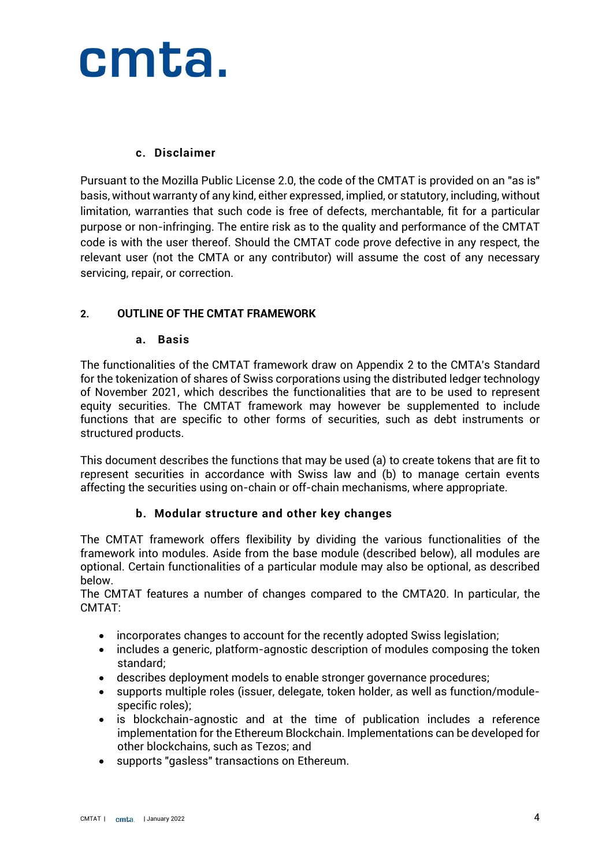#### **c. Disclaimer**

Pursuant to the Mozilla Public License 2.0, the code of the CMTAT is provided on an "as is" basis, without warranty of any kind, either expressed, implied, or statutory, including, without limitation, warranties that such code is free of defects, merchantable, fit for a particular purpose or non-infringing. The entire risk as to the quality and performance of the CMTAT code is with the user thereof. Should the CMTAT code prove defective in any respect, the relevant user (not the CMTA or any contributor) will assume the cost of any necessary servicing, repair, or correction.

#### <span id="page-3-0"></span>**2. OUTLINE OF THE CMTAT FRAMEWORK**

#### **a. Basis**

The functionalities of the CMTAT framework draw on Appendix 2 to the CMTA's Standard for the tokenization of shares of Swiss corporations using the distributed ledger technology of November 2021, which describes the functionalities that are to be used to represent equity securities. The CMTAT framework may however be supplemented to include functions that are specific to other forms of securities, such as debt instruments or structured products.

This document describes the functions that may be used (a) to create tokens that are fit to represent securities in accordance with Swiss law and (b) to manage certain events affecting the securities using on-chain or off-chain mechanisms, where appropriate.

#### **b. Modular structure and other key changes**

The CMTAT framework offers flexibility by dividing the various functionalities of the framework into modules. Aside from the base module (described below), all modules are optional. Certain functionalities of a particular module may also be optional, as described below.

The CMTAT features a number of changes compared to the CMTA20. In particular, the CMTAT:

- incorporates changes to account for the recently adopted Swiss legislation;
- includes a generic, platform-agnostic description of modules composing the token standard;
- describes deployment models to enable stronger governance procedures;
- supports multiple roles (issuer, delegate, token holder, as well as function/modulespecific roles);
- is blockchain-agnostic and at the time of publication includes a reference implementation for the Ethereum Blockchain. Implementations can be developed for other blockchains, such as Tezos; and
- supports "gasless" transactions on Ethereum.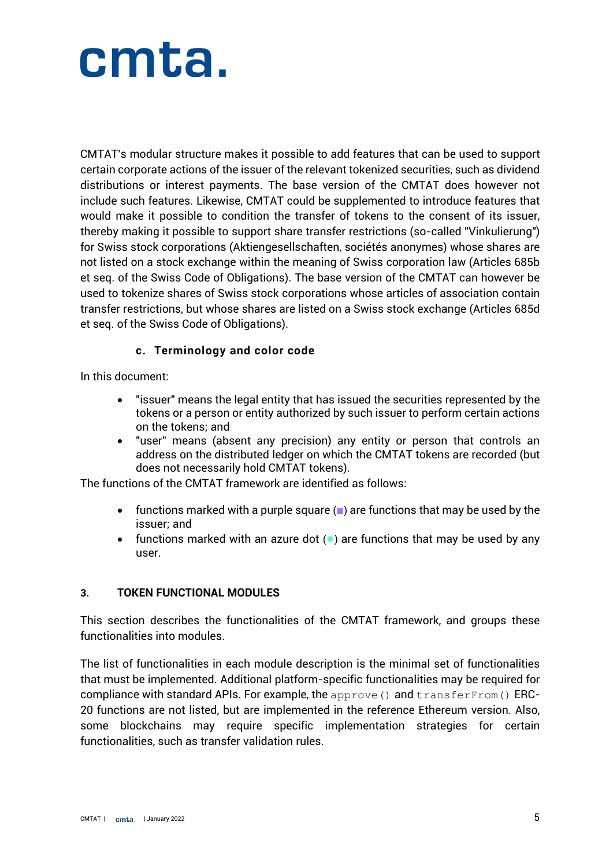CMTAT's modular structure makes it possible to add features that can be used to support certain corporate actions of the issuer of the relevant tokenized securities, such as dividend distributions or interest payments. The base version of the CMTAT does however not include such features. Likewise, CMTAT could be supplemented to introduce features that would make it possible to condition the transfer of tokens to the consent of its issuer, thereby making it possible to support share transfer restrictions (so-called "Vinkulierung") for Swiss stock corporations (Aktiengesellschaften, sociétés anonymes) whose shares are not listed on a stock exchange within the meaning of Swiss corporation law (Articles 685b et seq. of the Swiss Code of Obligations). The base version of the CMTAT can however be used to tokenize shares of Swiss stock corporations whose articles of association contain transfer restrictions, but whose shares are listed on a Swiss stock exchange (Articles 685d et seq. of the Swiss Code of Obligations).

#### **c. Terminology and color code**

In this document:

- "issuer" means the legal entity that has issued the securities represented by the tokens or a person or entity authorized by such issuer to perform certain actions on the tokens; and
- "user" means (absent any precision) any entity or person that controls an address on the distributed ledger on which the CMTAT tokens are recorded (but does not necessarily hold CMTAT tokens).

The functions of the CMTAT framework are identified as follows:

- functions marked with a purple square (■) are functions that may be used by the issuer; and
- functions marked with an azure dot (●) are functions that may be used by any user.

#### <span id="page-4-0"></span>**3. TOKEN FUNCTIONAL MODULES**

This section describes the functionalities of the CMTAT framework, and groups these functionalities into modules.

The list of functionalities in each module description is the minimal set of functionalities that must be implemented. Additional platform-specific functionalities may be required for compliance with standard APIs. For example, the approve () and  $transferrom()$  ERC-20 functions are not listed, but are implemented in the reference Ethereum version. Also, some blockchains may require specific implementation strategies for certain functionalities, such as transfer validation rules.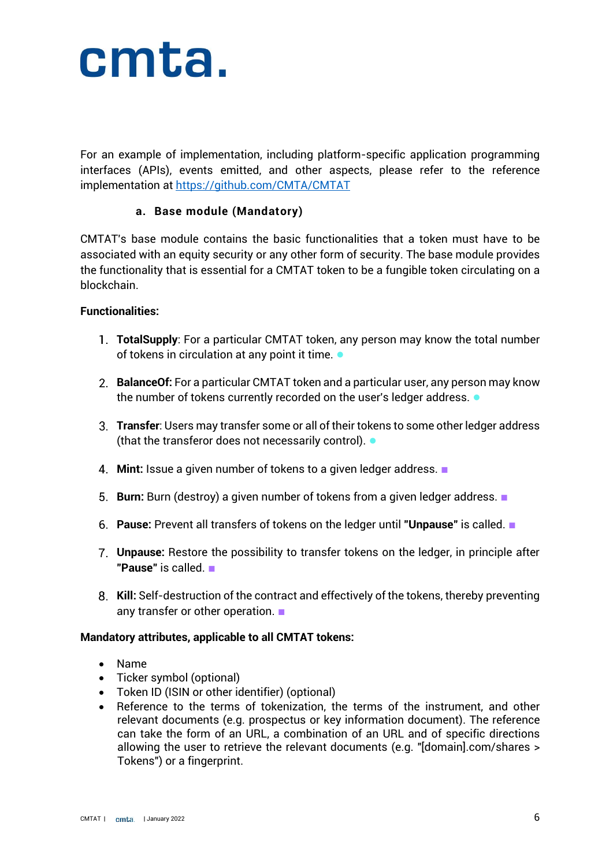

For an example of implementation, including platform-specific application programming interfaces (APIs), events emitted, and other aspects, please refer to the reference implementation at <https://github.com/CMTA/CMTAT>

#### **a. Base module (Mandatory)**

CMTAT's base module contains the basic functionalities that a token must have to be associated with an equity security or any other form of security. The base module provides the functionality that is essential for a CMTAT token to be a fungible token circulating on a blockchain.

#### **Functionalities:**

- **TotalSupply**: For a particular CMTAT token, any person may know the total number of tokens in circulation at any point it time. ●
- **BalanceOf:** For a particular CMTAT token and a particular user, any person may know the number of tokens currently recorded on the user's ledger address.  $\bullet$
- **Transfer**: Users may transfer some or all of their tokens to some other ledger address (that the transferor does not necessarily control). ●
- **Mint:** Issue a given number of tokens to a given ledger address. ■
- **Burn:** Burn (destroy) a given number of tokens from a given ledger address. ■
- **Pause:** Prevent all transfers of tokens on the ledger until **"Unpause"** is called. ■
- **Unpause:** Restore the possibility to transfer tokens on the ledger, in principle after **"Pause"** is called. ■
- **Kill:** Self-destruction of the contract and effectively of the tokens, thereby preventing any transfer or other operation. ■

#### **Mandatory attributes, applicable to all CMTAT tokens:**

- Name
- Ticker symbol (optional)
- Token ID (ISIN or other identifier) (optional)
- Reference to the terms of tokenization, the terms of the instrument, and other relevant documents (e.g. prospectus or key information document). The reference can take the form of an URL, a combination of an URL and of specific directions allowing the user to retrieve the relevant documents (e.g. "[domain].com/shares > Tokens") or a fingerprint.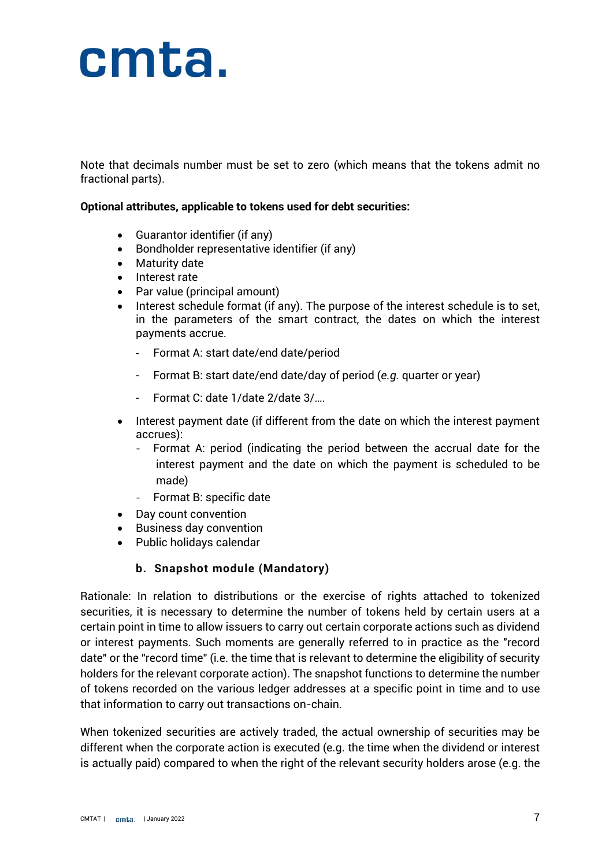Note that decimals number must be set to zero (which means that the tokens admit no fractional parts).

#### **Optional attributes, applicable to tokens used for debt securities:**

- Guarantor identifier (if any)
- Bondholder representative identifier (if any)
- Maturity date
- Interest rate
- Par value (principal amount)
- Interest schedule format (if any). The purpose of the interest schedule is to set, in the parameters of the smart contract, the dates on which the interest payments accrue.
	- Format A: start date/end date/period
	- Format B: start date/end date/day of period (*e.g.* quarter or year)
	- Format C: date 1/date 2/date 3/….
- Interest payment date (if different from the date on which the interest payment accrues):
	- Format A: period (indicating the period between the accrual date for the interest payment and the date on which the payment is scheduled to be made)
	- Format B: specific date
- Day count convention
- Business day convention
- Public holidays calendar

#### **b. Snapshot module (Mandatory)**

Rationale: In relation to distributions or the exercise of rights attached to tokenized securities, it is necessary to determine the number of tokens held by certain users at a certain point in time to allow issuers to carry out certain corporate actions such as dividend or interest payments. Such moments are generally referred to in practice as the "record date" or the "record time" (i.e. the time that is relevant to determine the eligibility of security holders for the relevant corporate action). The snapshot functions to determine the number of tokens recorded on the various ledger addresses at a specific point in time and to use that information to carry out transactions on-chain.

When tokenized securities are actively traded, the actual ownership of securities may be different when the corporate action is executed (e.g. the time when the dividend or interest is actually paid) compared to when the right of the relevant security holders arose (e.g. the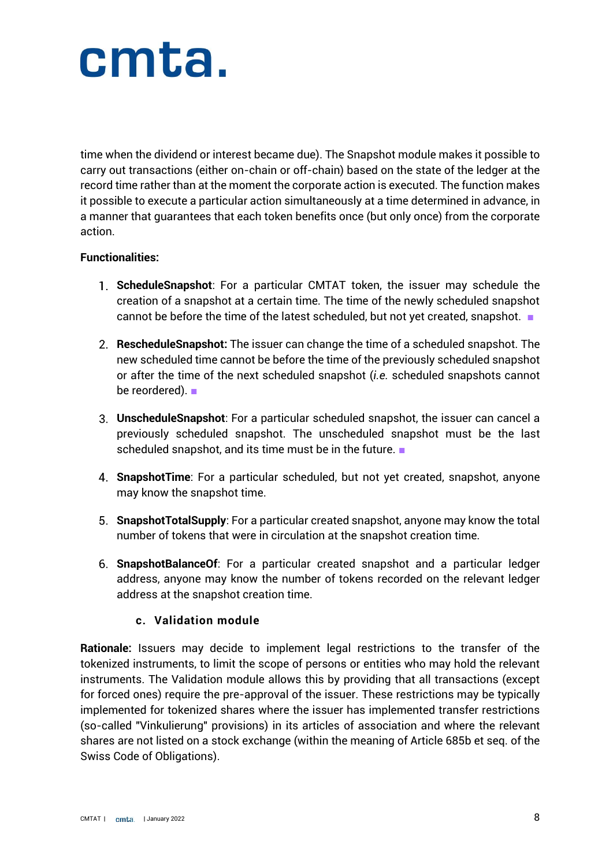time when the dividend or interest became due). The Snapshot module makes it possible to carry out transactions (either on-chain or off-chain) based on the state of the ledger at the record time rather than at the moment the corporate action is executed. The function makes it possible to execute a particular action simultaneously at a time determined in advance, in a manner that guarantees that each token benefits once (but only once) from the corporate action.

#### **Functionalities:**

- **ScheduleSnapshot**: For a particular CMTAT token, the issuer may schedule the creation of a snapshot at a certain time. The time of the newly scheduled snapshot cannot be before the time of the latest scheduled, but not yet created, snapshot. ■
- **RescheduleSnapshot:** The issuer can change the time of a scheduled snapshot. The new scheduled time cannot be before the time of the previously scheduled snapshot or after the time of the next scheduled snapshot (*i.e.* scheduled snapshots cannot be reordered). ■
- **UnscheduleSnapshot**: For a particular scheduled snapshot, the issuer can cancel a previously scheduled snapshot. The unscheduled snapshot must be the last scheduled snapshot, and its time must be in the future.
- **SnapshotTime**: For a particular scheduled, but not yet created, snapshot, anyone may know the snapshot time.
- **SnapshotTotalSupply**: For a particular created snapshot, anyone may know the total number of tokens that were in circulation at the snapshot creation time.
- **SnapshotBalanceOf**: For a particular created snapshot and a particular ledger address, anyone may know the number of tokens recorded on the relevant ledger address at the snapshot creation time.

#### **c. Validation module**

**Rationale:** Issuers may decide to implement legal restrictions to the transfer of the tokenized instruments, to limit the scope of persons or entities who may hold the relevant instruments. The Validation module allows this by providing that all transactions (except for forced ones) require the pre-approval of the issuer. These restrictions may be typically implemented for tokenized shares where the issuer has implemented transfer restrictions (so-called "Vinkulierung" provisions) in its articles of association and where the relevant shares are not listed on a stock exchange (within the meaning of Article 685b et seq. of the Swiss Code of Obligations).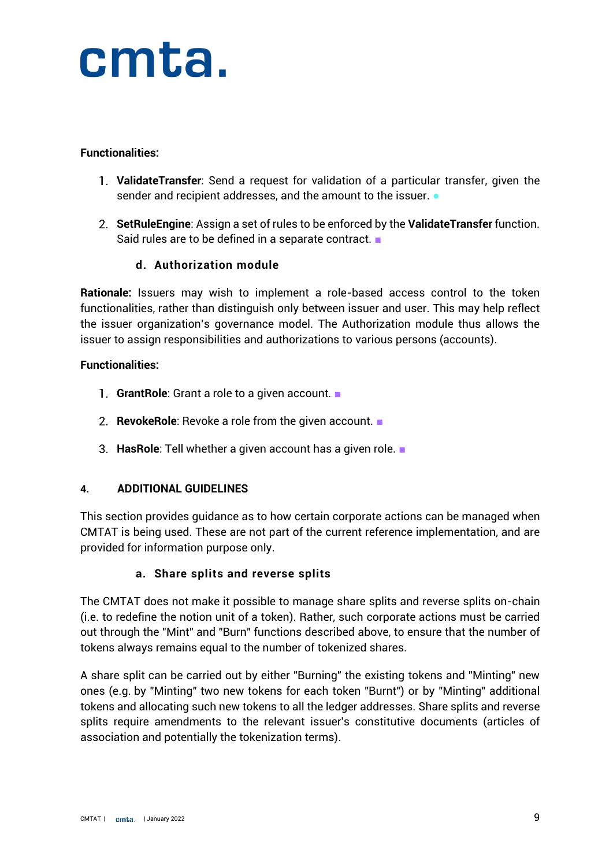#### **Functionalities:**

- **ValidateTransfer**: Send a request for validation of a particular transfer, given the sender and recipient addresses, and the amount to the issuer.  $\bullet$
- **SetRuleEngine**: Assign a set of rules to be enforced by the **ValidateTransfer** function. Said rules are to be defined in a separate contract. ■

#### **d. Authorization module**

**Rationale:** Issuers may wish to implement a role-based access control to the token functionalities, rather than distinguish only between issuer and user. This may help reflect the issuer organization's governance model. The Authorization module thus allows the issuer to assign responsibilities and authorizations to various persons (accounts).

#### **Functionalities:**

- **GrantRole**: Grant a role to a given account. ■
- **RevokeRole**: Revoke a role from the given account. ■
- **HasRole**: Tell whether a given account has a given role. ■

#### <span id="page-8-0"></span>**4. ADDITIONAL GUIDELINES**

This section provides guidance as to how certain corporate actions can be managed when CMTAT is being used. These are not part of the current reference implementation, and are provided for information purpose only.

#### **a. Share splits and reverse splits**

The CMTAT does not make it possible to manage share splits and reverse splits on-chain (i.e. to redefine the notion unit of a token). Rather, such corporate actions must be carried out through the "Mint" and "Burn" functions described above, to ensure that the number of tokens always remains equal to the number of tokenized shares.

A share split can be carried out by either "Burning" the existing tokens and "Minting" new ones (e.g. by "Minting" two new tokens for each token "Burnt") or by "Minting" additional tokens and allocating such new tokens to all the ledger addresses. Share splits and reverse splits require amendments to the relevant issuer's constitutive documents (articles of association and potentially the tokenization terms).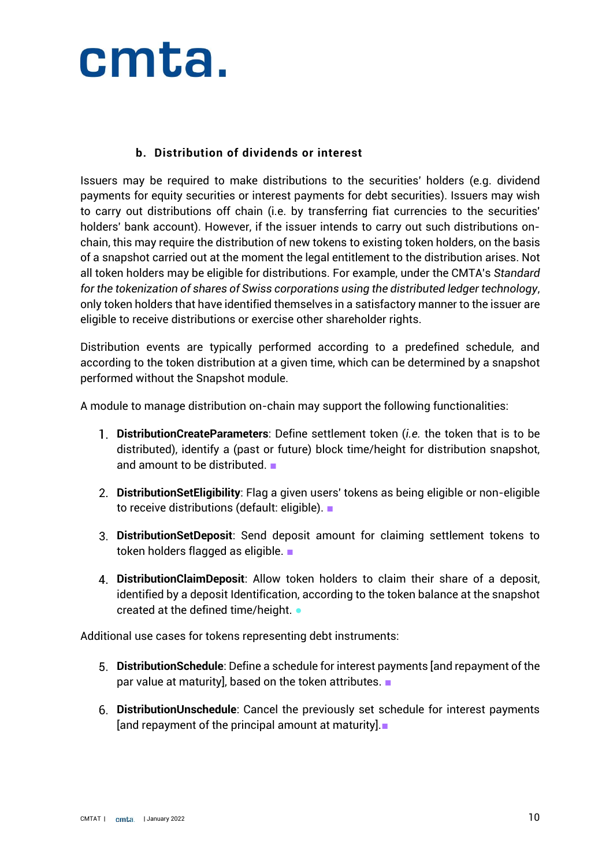#### **b. Distribution of dividends or interest**

Issuers may be required to make distributions to the securities' holders (e.g. dividend payments for equity securities or interest payments for debt securities). Issuers may wish to carry out distributions off chain (i.e. by transferring fiat currencies to the securities' holders' bank account). However, if the issuer intends to carry out such distributions onchain, this may require the distribution of new tokens to existing token holders, on the basis of a snapshot carried out at the moment the legal entitlement to the distribution arises. Not all token holders may be eligible for distributions. For example, under the CMTA's *Standard for the tokenization of shares of Swiss corporations using the distributed ledger technology*, only token holders that have identified themselves in a satisfactory manner to the issuer are eligible to receive distributions or exercise other shareholder rights.

Distribution events are typically performed according to a predefined schedule, and according to the token distribution at a given time, which can be determined by a snapshot performed without the Snapshot module.

A module to manage distribution on-chain may support the following functionalities:

- **DistributionCreateParameters**: Define settlement token (*i.e.* the token that is to be distributed), identify a (past or future) block time/height for distribution snapshot, and amount to be distributed. ■
- **DistributionSetEligibility**: Flag a given users' tokens as being eligible or non-eligible to receive distributions (default: eligible). ■
- **DistributionSetDeposit**: Send deposit amount for claiming settlement tokens to token holders flagged as eligible. ■
- **DistributionClaimDeposit**: Allow token holders to claim their share of a deposit, identified by a deposit Identification, according to the token balance at the snapshot created at the defined time/height. ●

Additional use cases for tokens representing debt instruments:

- **DistributionSchedule**: Define a schedule for interest payments [and repayment of the par value at maturity], based on the token attributes. ■
- **DistributionUnschedule**: Cancel the previously set schedule for interest payments [and repayment of the principal amount at maturity].■